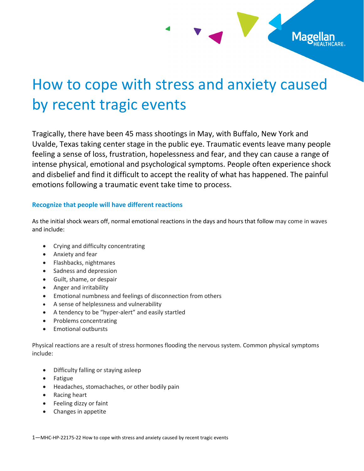

Mage

Tragically, there have been 45 mass shootings in May, with Buffalo, New York and Uvalde, Texas taking center stage in the public eye. Traumatic events leave many people feeling a sense of loss, frustration, hopelessness and fear, and they can cause a range of intense physical, emotional and psychological symptoms. People often experience shock and disbelief and find it difficult to accept the reality of what has happened. The painful emotions following a traumatic event take time to process.

### **Recognize that people will have different reactions**

As the initial shock wears off, normal emotional reactions in the days and hours that follow may come in waves and include:

- Crying and difficulty concentrating
- Anxiety and fear
- Flashbacks, nightmares
- Sadness and depression
- Guilt, shame, or despair
- Anger and irritability
- Emotional numbness and feelings of disconnection from others
- A sense of helplessness and vulnerability
- A tendency to be "hyper-alert" and easily startled
- Problems concentrating
- Emotional outbursts

Physical reactions are a result of stress hormones flooding the nervous system. Common physical symptoms include:

- Difficulty falling or staying asleep
- Fatigue
- Headaches, stomachaches, or other bodily pain
- Racing heart
- Feeling dizzy or faint
- Changes in appetite